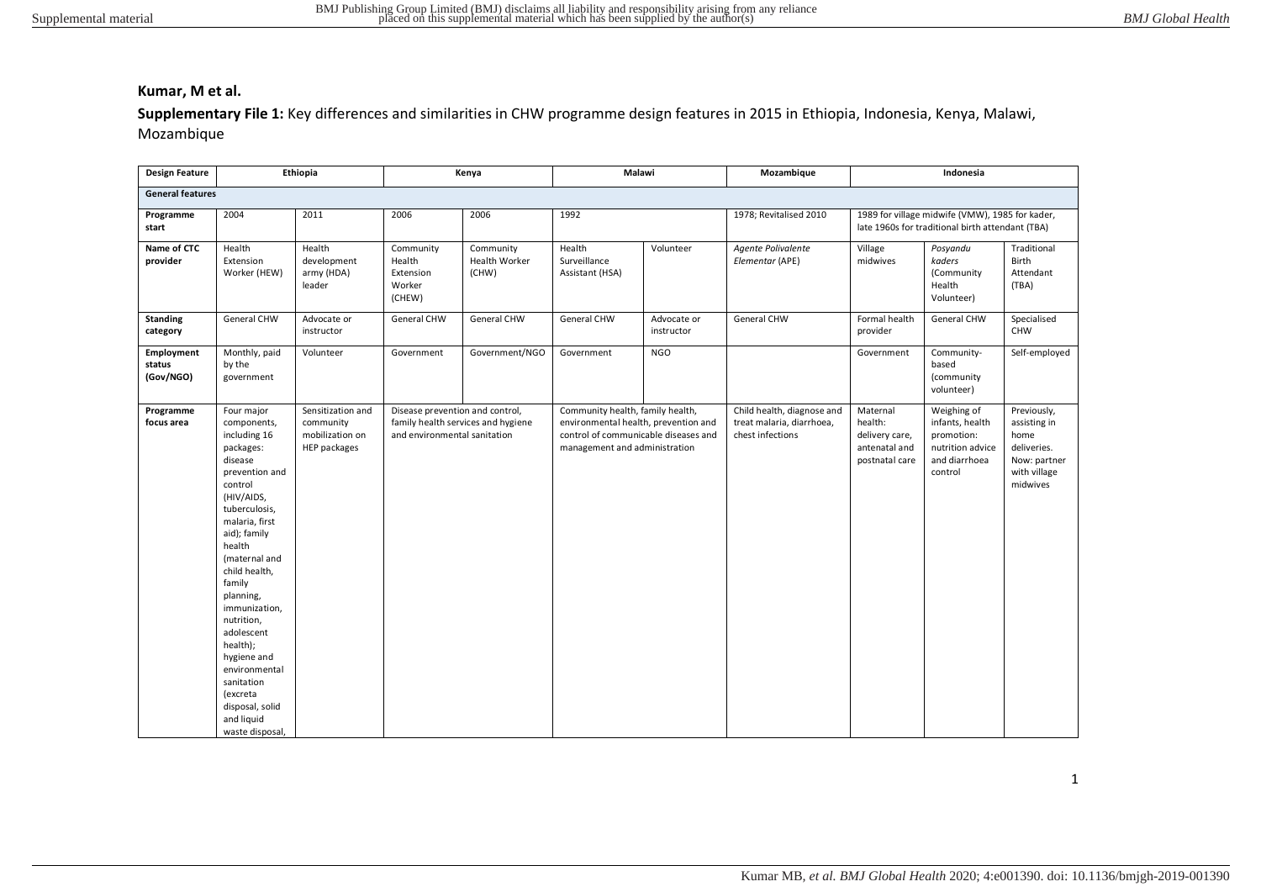Supplementary File 1: Key differences and similarities in CHW programme design features in 2015 in Ethiopia, Indonesia, Kenya, Malawi, Mozambique

| <b>Design Feature</b>             |                                                                                                                                                                                                                                                                                                                                                                                                           | Ethiopia                                                          | Kenya                                                           |                                     | Malawi                                                                                                                                            |                           | Mozambique                                                                  | Indonesia                                                                |                                                                                                     |                                                                                                |
|-----------------------------------|-----------------------------------------------------------------------------------------------------------------------------------------------------------------------------------------------------------------------------------------------------------------------------------------------------------------------------------------------------------------------------------------------------------|-------------------------------------------------------------------|-----------------------------------------------------------------|-------------------------------------|---------------------------------------------------------------------------------------------------------------------------------------------------|---------------------------|-----------------------------------------------------------------------------|--------------------------------------------------------------------------|-----------------------------------------------------------------------------------------------------|------------------------------------------------------------------------------------------------|
| <b>General features</b>           |                                                                                                                                                                                                                                                                                                                                                                                                           |                                                                   |                                                                 |                                     |                                                                                                                                                   |                           |                                                                             |                                                                          |                                                                                                     |                                                                                                |
| Programme<br>start                | 2004                                                                                                                                                                                                                                                                                                                                                                                                      | 2011                                                              | 2006                                                            | 2006                                | 1992                                                                                                                                              |                           | 1978; Revitalised 2010                                                      |                                                                          | 1989 for village midwife (VMW), 1985 for kader,<br>late 1960s for traditional birth attendant (TBA) |                                                                                                |
| Name of CTC<br>provider           | Health<br>Extension<br>Worker (HEW)                                                                                                                                                                                                                                                                                                                                                                       | Health<br>development<br>army (HDA)<br>leader                     | Community<br>Health<br>Extension<br>Worker<br>(CHEW)            | Community<br>Health Worker<br>(CHW) | Health<br>Surveillance<br>Assistant (HSA)                                                                                                         | Volunteer                 | Agente Polivalente<br>Elementar (APE)                                       | Village<br>midwives                                                      | Posyandu<br>kaders<br>(Community<br>Health<br>Volunteer)                                            | Traditional<br>Birth<br>Attendant<br>(TBA)                                                     |
| <b>Standing</b><br>category       | General CHW                                                                                                                                                                                                                                                                                                                                                                                               | Advocate or<br>instructor                                         | General CHW                                                     | General CHW                         | <b>General CHW</b>                                                                                                                                | Advocate or<br>instructor | General CHW                                                                 | Formal health<br>provider                                                | General CHW                                                                                         | Specialised<br>CHW                                                                             |
| Employment<br>status<br>(Gov/NGO) | Monthly, paid<br>by the<br>government                                                                                                                                                                                                                                                                                                                                                                     | Volunteer                                                         | Government                                                      | Government/NGO                      | Government                                                                                                                                        | <b>NGO</b>                |                                                                             | Government                                                               | Community-<br>based<br>(community<br>volunteer)                                                     | Self-employed                                                                                  |
| Programme<br>focus area           | Four major<br>components,<br>including 16<br>packages:<br>disease<br>prevention and<br>control<br>(HIV/AIDS,<br>tuberculosis,<br>malaria, first<br>aid); family<br>health<br>(maternal and<br>child health,<br>family<br>planning,<br>immunization,<br>nutrition,<br>adolescent<br>health);<br>hygiene and<br>environmental<br>sanitation<br>(excreta<br>disposal, solid<br>and liquid<br>waste disposal, | Sensitization and<br>community<br>mobilization on<br>HEP packages | Disease prevention and control,<br>and environmental sanitation | family health services and hygiene  | Community health, family health,<br>environmental health, prevention and<br>control of communicable diseases and<br>management and administration |                           | Child health, diagnose and<br>treat malaria, diarrhoea,<br>chest infections | Maternal<br>health:<br>delivery care,<br>antenatal and<br>postnatal care | Weighing of<br>infants, health<br>promotion:<br>nutrition advice<br>and diarrhoea<br>control        | Previously,<br>assisting in<br>home<br>deliveries.<br>Now: partner<br>with village<br>midwives |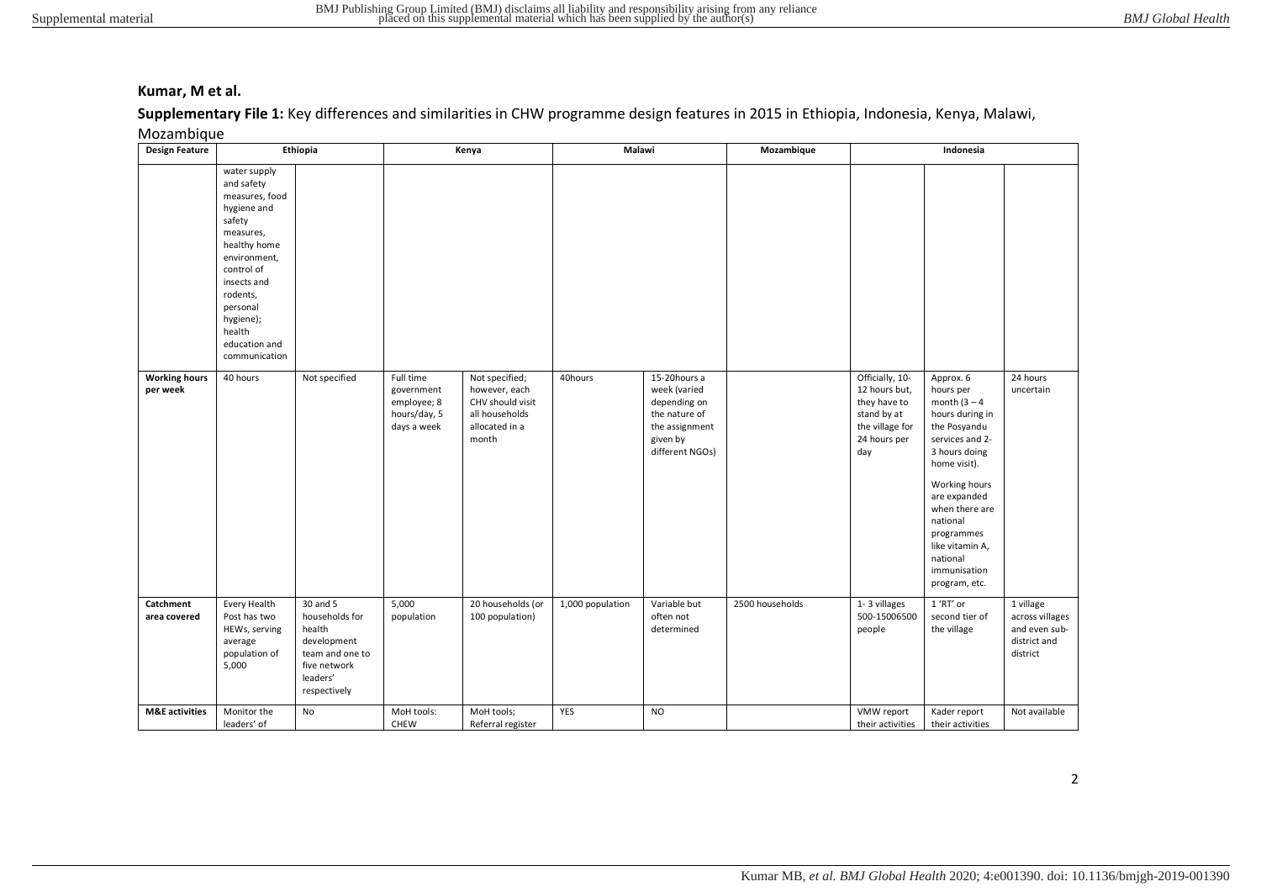## Supplementary File 1: Key differences and similarities in CHW programme design features in 2015 in Ethiopia, Indonesia, Kenya, Malawi,

Mozambique

| <b>Design Feature</b>            | Ethiopia                                                                                                                                                                                                                         |                                                                                                                    |                                                                       | Malawi<br>Mozambique<br>Kenya                                                                    |                  |                                                                                                                |                 | Indonesia                                                                                                 |                                                                                                                                                                                                                                                                               |                                                                           |
|----------------------------------|----------------------------------------------------------------------------------------------------------------------------------------------------------------------------------------------------------------------------------|--------------------------------------------------------------------------------------------------------------------|-----------------------------------------------------------------------|--------------------------------------------------------------------------------------------------|------------------|----------------------------------------------------------------------------------------------------------------|-----------------|-----------------------------------------------------------------------------------------------------------|-------------------------------------------------------------------------------------------------------------------------------------------------------------------------------------------------------------------------------------------------------------------------------|---------------------------------------------------------------------------|
|                                  | water supply<br>and safety<br>measures, food<br>hygiene and<br>safety<br>measures,<br>healthy home<br>environment,<br>control of<br>insects and<br>rodents,<br>personal<br>hygiene);<br>health<br>education and<br>communication |                                                                                                                    |                                                                       |                                                                                                  |                  |                                                                                                                |                 |                                                                                                           |                                                                                                                                                                                                                                                                               |                                                                           |
| <b>Working hours</b><br>per week | 40 hours                                                                                                                                                                                                                         | Not specified                                                                                                      | Full time<br>government<br>employee; 8<br>hours/day, 5<br>days a week | Not specified;<br>however, each<br>CHV should visit<br>all households<br>allocated in a<br>month | 40hours          | 15-20hours a<br>week (varied<br>depending on<br>the nature of<br>the assignment<br>given by<br>different NGOs) |                 | Officially, 10-<br>12 hours but,<br>they have to<br>stand by at<br>the village for<br>24 hours per<br>day | Approx. 6<br>hours per<br>month $(3 - 4)$<br>hours during in<br>the Posyandu<br>services and 2-<br>3 hours doing<br>home visit).<br>Working hours<br>are expanded<br>when there are<br>national<br>programmes<br>like vitamin A,<br>national<br>immunisation<br>program, etc. | $\overline{24}$ hours<br>uncertain                                        |
| Catchment<br>area covered        | Every Health<br>Post has two<br>HEWs, serving<br>average<br>population of<br>5,000                                                                                                                                               | 30 and 5<br>households for<br>health<br>development<br>team and one to<br>five network<br>leaders'<br>respectively | 5,000<br>population                                                   | 20 households (or<br>100 population)                                                             | 1,000 population | Variable but<br>often not<br>determined                                                                        | 2500 households | 1-3 villages<br>500-15006500<br>people                                                                    | 1 'RT' or<br>second tier of<br>the village                                                                                                                                                                                                                                    | 1 village<br>across villages<br>and even sub-<br>district and<br>district |
| <b>M&amp;E</b> activities        | Monitor the<br>leaders' of                                                                                                                                                                                                       | No                                                                                                                 | MoH tools:<br>CHEW                                                    | MoH tools;<br>Referral register                                                                  | YES              | <b>NO</b>                                                                                                      |                 | VMW report<br>their activities                                                                            | Kader report<br>their activities                                                                                                                                                                                                                                              | Not available                                                             |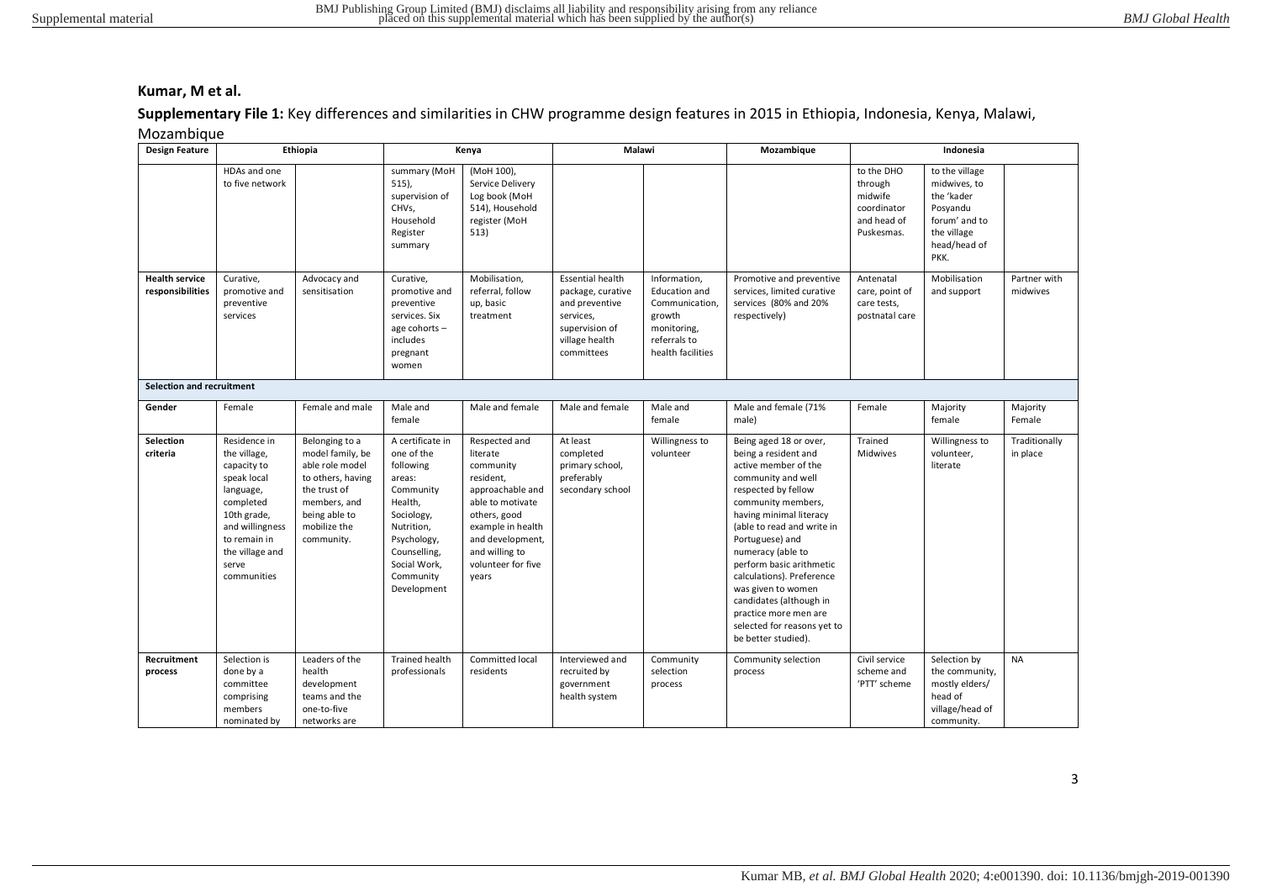# Supplementary File 1: Key differences and similarities in CHW programme design features in 2015 in Ethiopia, Indonesia, Kenya, Malawi,

| Mozambique |  |  |
|------------|--|--|
|            |  |  |
|            |  |  |

| <b>Design Feature</b>                     |                                                                                                                                                                                   | Ethiopia                                                                                                                                                  |                                                                                                                                                                                      | Kenya                                                                                                                                                                                                 | Malawi                                                                                                                        |                                                                                                                      | Mozambique                                                                                                                                                                                                                                                                                                                                                                                                                          | Indonesia                                                                    |                                                                                                                  |                           |
|-------------------------------------------|-----------------------------------------------------------------------------------------------------------------------------------------------------------------------------------|-----------------------------------------------------------------------------------------------------------------------------------------------------------|--------------------------------------------------------------------------------------------------------------------------------------------------------------------------------------|-------------------------------------------------------------------------------------------------------------------------------------------------------------------------------------------------------|-------------------------------------------------------------------------------------------------------------------------------|----------------------------------------------------------------------------------------------------------------------|-------------------------------------------------------------------------------------------------------------------------------------------------------------------------------------------------------------------------------------------------------------------------------------------------------------------------------------------------------------------------------------------------------------------------------------|------------------------------------------------------------------------------|------------------------------------------------------------------------------------------------------------------|---------------------------|
|                                           | HDAs and one<br>to five network                                                                                                                                                   |                                                                                                                                                           | summary (MoH<br>$515$ ),<br>supervision of<br>CHVs.<br>Household<br>Register<br>summary                                                                                              | (MoH 100),<br>Service Delivery<br>Log book (MoH<br>514), Household<br>register (MoH<br>513)                                                                                                           |                                                                                                                               |                                                                                                                      |                                                                                                                                                                                                                                                                                                                                                                                                                                     | to the DHO<br>through<br>midwife<br>coordinator<br>and head of<br>Puskesmas. | to the village<br>midwives, to<br>the 'kader<br>Posyandu<br>forum' and to<br>the village<br>head/head of<br>PKK. |                           |
| <b>Health service</b><br>responsibilities | Curative,<br>promotive and<br>preventive<br>services                                                                                                                              | Advocacy and<br>sensitisation                                                                                                                             | Curative.<br>promotive and<br>preventive<br>services. Six<br>age cohorts -<br>includes<br>pregnant<br>women                                                                          | Mobilisation,<br>referral, follow<br>up, basic<br>treatment                                                                                                                                           | <b>Essential health</b><br>package, curative<br>and preventive<br>services,<br>supervision of<br>village health<br>committees | Information,<br><b>Education and</b><br>Communication,<br>growth<br>monitoring,<br>referrals to<br>health facilities | Promotive and preventive<br>services, limited curative<br>services (80% and 20%<br>respectively)                                                                                                                                                                                                                                                                                                                                    | Antenatal<br>care, point of<br>care tests,<br>postnatal care                 | Mobilisation<br>and support                                                                                      | Partner with<br>midwives  |
| Selection and recruitment                 |                                                                                                                                                                                   |                                                                                                                                                           |                                                                                                                                                                                      |                                                                                                                                                                                                       |                                                                                                                               |                                                                                                                      |                                                                                                                                                                                                                                                                                                                                                                                                                                     |                                                                              |                                                                                                                  |                           |
| Gender                                    | Female                                                                                                                                                                            | Female and male                                                                                                                                           | Male and<br>female                                                                                                                                                                   | Male and female                                                                                                                                                                                       | Male and female                                                                                                               | Male and<br>female                                                                                                   | Male and female (71%<br>male)                                                                                                                                                                                                                                                                                                                                                                                                       | Female                                                                       | Majority<br>female                                                                                               | Majority<br>Female        |
| Selection<br>criteria                     | Residence in<br>the village,<br>capacity to<br>speak local<br>language,<br>completed<br>10th grade,<br>and willingness<br>to remain in<br>the village and<br>serve<br>communities | Belonging to a<br>model family, be<br>able role model<br>to others, having<br>the trust of<br>members, and<br>being able to<br>mobilize the<br>community. | A certificate in<br>one of the<br>following<br>areas:<br>Community<br>Health,<br>Sociology,<br>Nutrition,<br>Psychology,<br>Counselling,<br>Social Work,<br>Community<br>Development | Respected and<br>literate<br>community<br>resident,<br>approachable and<br>able to motivate<br>others, good<br>example in health<br>and development,<br>and willing to<br>volunteer for five<br>years | At least<br>completed<br>primary school,<br>preferably<br>secondary school                                                    | Willingness to<br>volunteer                                                                                          | Being aged 18 or over,<br>being a resident and<br>active member of the<br>community and well<br>respected by fellow<br>community members,<br>having minimal literacy<br>(able to read and write in<br>Portuguese) and<br>numeracy (able to<br>perform basic arithmetic<br>calculations). Preference<br>was given to women<br>candidates (although in<br>practice more men are<br>selected for reasons yet to<br>be better studied). | Trained<br>Midwives                                                          | Willingness to<br>volunteer,<br>literate                                                                         | Traditionally<br>in place |
| Recruitment<br>process                    | Selection is<br>done by a<br>committee<br>comprising<br>members<br>nominated by                                                                                                   | Leaders of the<br>health<br>development<br>teams and the<br>one-to-five<br>networks are                                                                   | <b>Trained health</b><br>professionals                                                                                                                                               | Committed local<br>residents                                                                                                                                                                          | Interviewed and<br>recruited by<br>government<br>health system                                                                | Community<br>selection<br>process                                                                                    | Community selection<br>process                                                                                                                                                                                                                                                                                                                                                                                                      | Civil service<br>scheme and<br>'PTT' scheme                                  | Selection by<br>the community,<br>mostly elders/<br>head of<br>village/head of<br>community.                     | <b>NA</b>                 |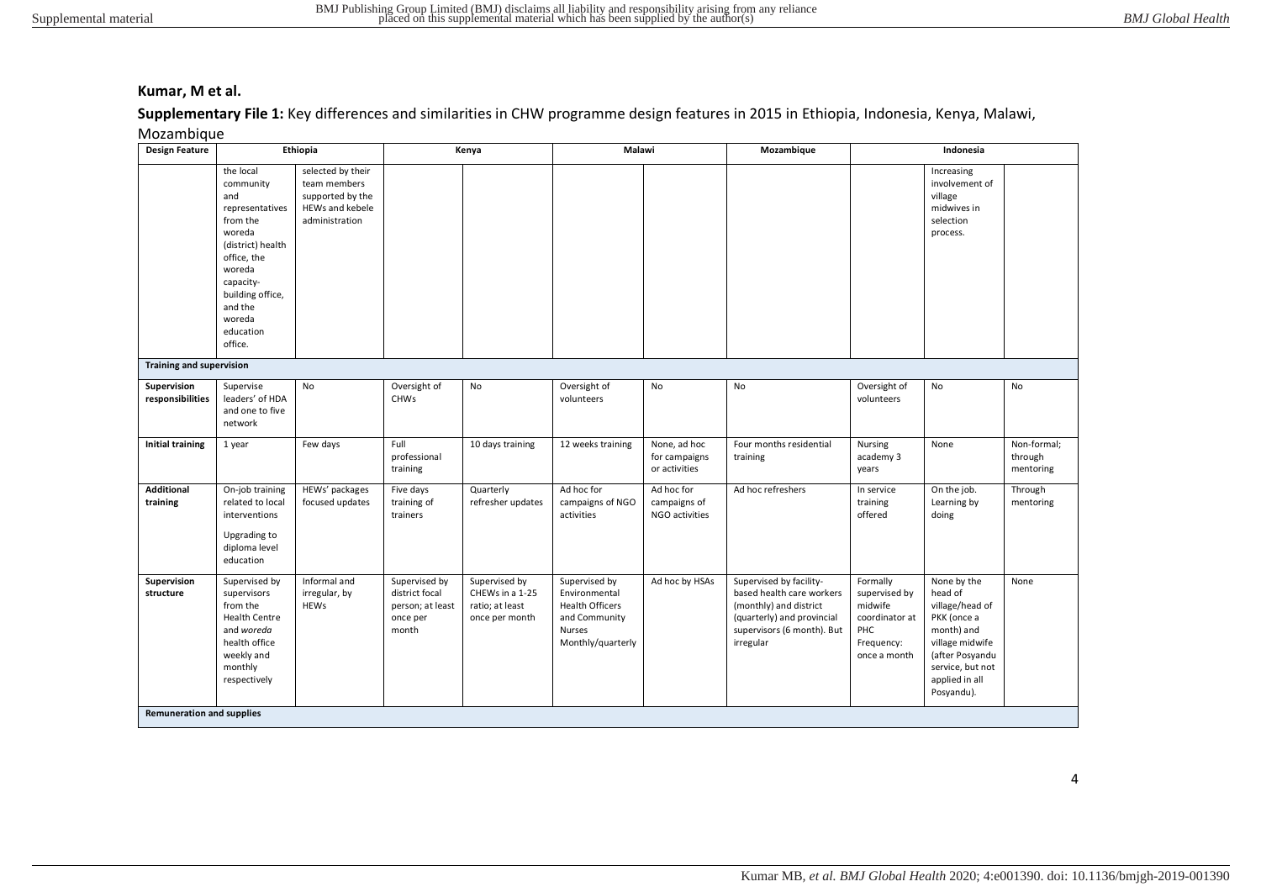## Supplementary File 1: Key differences and similarities in CHW programme design features in 2015 in Ethiopia, Indonesia, Kenya, Malawi,

#### Mozambique

| <b>Design Feature</b>            | Ethiopia                                                                                                                                                                                           |                                                                                            |                                                                          | Kenya                                                                 |                                                                                                          | Malawi<br>Mozambique                           |                                                                                                                                                         | Indonesia                                                                                   |                                                                                                                                                                  |                                     |
|----------------------------------|----------------------------------------------------------------------------------------------------------------------------------------------------------------------------------------------------|--------------------------------------------------------------------------------------------|--------------------------------------------------------------------------|-----------------------------------------------------------------------|----------------------------------------------------------------------------------------------------------|------------------------------------------------|---------------------------------------------------------------------------------------------------------------------------------------------------------|---------------------------------------------------------------------------------------------|------------------------------------------------------------------------------------------------------------------------------------------------------------------|-------------------------------------|
|                                  | the local<br>community<br>and<br>representatives<br>from the<br>woreda<br>(district) health<br>office, the<br>woreda<br>capacity-<br>building office,<br>and the<br>woreda<br>education<br>office. | selected by their<br>team members<br>supported by the<br>HEWs and kebele<br>administration |                                                                          |                                                                       |                                                                                                          |                                                |                                                                                                                                                         |                                                                                             | Increasing<br>involvement of<br>village<br>midwives in<br>selection<br>process.                                                                                  |                                     |
| <b>Training and supervision</b>  |                                                                                                                                                                                                    |                                                                                            |                                                                          |                                                                       |                                                                                                          |                                                |                                                                                                                                                         |                                                                                             |                                                                                                                                                                  |                                     |
| Supervision<br>responsibilities  | Supervise<br>leaders' of HDA<br>and one to five<br>network                                                                                                                                         | <b>No</b>                                                                                  | Oversight of<br><b>CHWs</b>                                              | No                                                                    | Oversight of<br>volunteers                                                                               | No                                             | No                                                                                                                                                      | Oversight of<br>volunteers                                                                  | No                                                                                                                                                               | No                                  |
| <b>Initial training</b>          | 1 year                                                                                                                                                                                             | Few days                                                                                   | Full<br>professional<br>training                                         | 10 days training                                                      | 12 weeks training                                                                                        | None, ad hoc<br>for campaigns<br>or activities | Four months residential<br>training                                                                                                                     | Nursing<br>academy 3<br>years                                                               | None                                                                                                                                                             | Non-formal;<br>through<br>mentoring |
| <b>Additional</b><br>training    | On-job training<br>related to local<br>interventions<br>Upgrading to<br>diploma level<br>education                                                                                                 | HEWs' packages<br>focused updates                                                          | Five days<br>training of<br>trainers                                     | Quarterly<br>refresher updates                                        | Ad hoc for<br>campaigns of NGO<br>activities                                                             | Ad hoc for<br>campaigns of<br>NGO activities   | Ad hoc refreshers                                                                                                                                       | In service<br>training<br>offered                                                           | On the job.<br>Learning by<br>doing                                                                                                                              | Through<br>mentoring                |
| Supervision<br>structure         | Supervised by<br>supervisors<br>from the<br><b>Health Centre</b><br>and woreda<br>health office<br>weekly and<br>monthly<br>respectively                                                           | Informal and<br>irregular, by<br><b>HEWs</b>                                               | Supervised by<br>district focal<br>person; at least<br>once per<br>month | Supervised by<br>CHEWs in a 1-25<br>ratio; at least<br>once per month | Supervised by<br>Environmental<br><b>Health Officers</b><br>and Community<br>Nurses<br>Monthly/quarterly | Ad hoc by HSAs                                 | Supervised by facility-<br>based health care workers<br>(monthly) and district<br>(quarterly) and provincial<br>supervisors (6 month). But<br>irregular | Formally<br>supervised by<br>midwife<br>coordinator at<br>PHC<br>Frequency:<br>once a month | None by the<br>head of<br>village/head of<br>PKK (once a<br>month) and<br>village midwife<br>(after Posyandu<br>service, but not<br>applied in all<br>Posyandu). | None                                |
| <b>Remuneration and supplies</b> |                                                                                                                                                                                                    |                                                                                            |                                                                          |                                                                       |                                                                                                          |                                                |                                                                                                                                                         |                                                                                             |                                                                                                                                                                  |                                     |